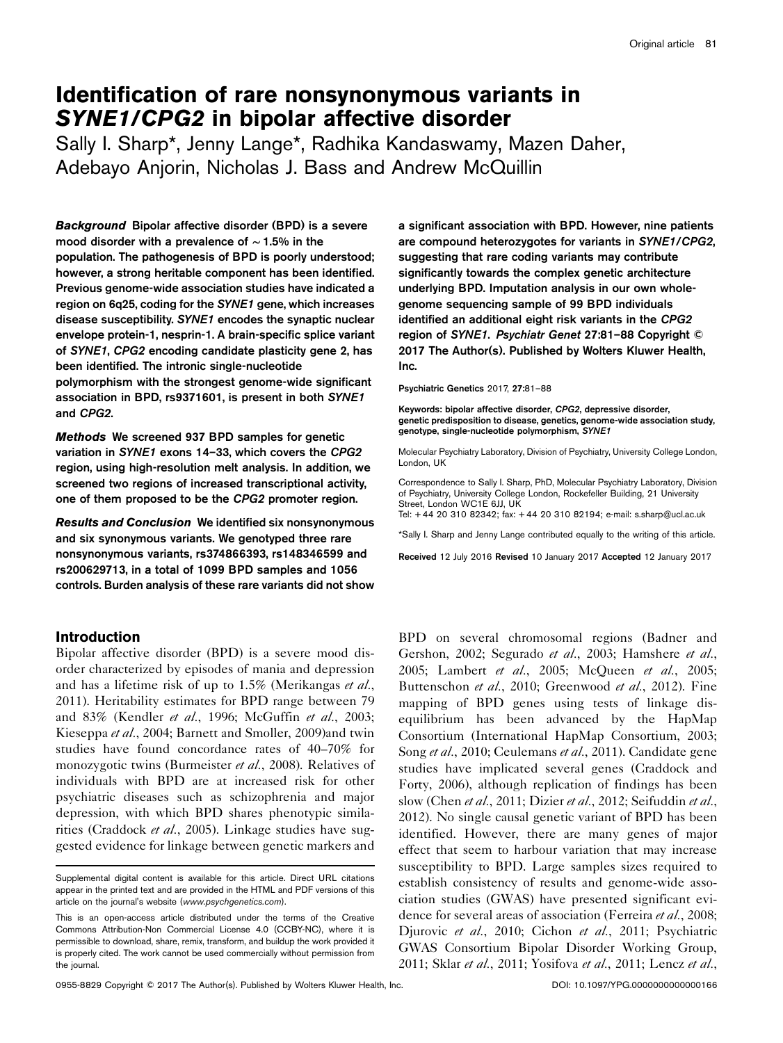# Identification of rare nonsynonymous variants in SYNE1/CPG2 in bipolar affective disorder

Sally I. Sharp\*, Jenny Lange\*, Radhika Kandaswamy, Mazen Daher, Adebayo Anjorin, Nicholas J. Bass and Andrew McQuillin

Background Bipolar affective disorder (BPD) is a severe mood disorder with a prevalence of ∼ 1.5% in the population. The pathogenesis of BPD is poorly understood; however, a strong heritable component has been identified. Previous genome-wide association studies have indicated a region on 6q25, coding for the SYNE1 gene, which increases disease susceptibility. SYNE1 encodes the synaptic nuclear envelope protein-1, nesprin-1. A brain-specific splice variant of SYNE1, CPG2 encoding candidate plasticity gene 2, has been identified. The intronic single-nucleotide polymorphism with the strongest genome-wide significant association in BPD, rs9371601, is present in both SYNE1 and CPG2.

Methods We screened 937 BPD samples for genetic variation in SYNE1 exons 14–33, which covers the CPG2 region, using high-resolution melt analysis. In addition, we screened two regions of increased transcriptional activity, one of them proposed to be the CPG2 promoter region.

Results and Conclusion We identified six nonsynonymous and six synonymous variants. We genotyped three rare nonsynonymous variants, rs374866393, rs148346599 and rs200629713, in a total of 1099 BPD samples and 1056 controls. Burden analysis of these rare variants did not show

## Introduction

Bipolar affective disorder (BPD) is a severe mood disorder characterized by episodes of mania and depression and has a lifetime risk of up to 1.5% [\(Merikangas](#page-6-0) et al., [2011\)](#page-6-0). Heritability estimates for BPD range between 79 and 83% ([Kendler](#page-6-0) et al., 1996; [McGuffin](#page-6-0) et al., 2003; [Kieseppa](#page-6-0) et al., 2004; [Barnett and Smoller, 2009](#page-5-0))and twin studies have found concordance rates of 40–70% for monozygotic twins [\(Burmeister](#page-5-0) et al., 2008). Relatives of individuals with BPD are at increased risk for other psychiatric diseases such as schizophrenia and major depression, with which BPD shares phenotypic simila-rities [\(Craddock](#page-5-0) et al., 2005). Linkage studies have suggested evidence for linkage between genetic markers and

a significant association with BPD. However, nine patients are compound heterozygotes for variants in SYNE1/CPG2, suggesting that rare coding variants may contribute significantly towards the complex genetic architecture underlying BPD. Imputation analysis in our own wholegenome sequencing sample of 99 BPD individuals identified an additional eight risk variants in the CPG2 region of SYNE1. Psychiatr Genet 27:81–88 Copyright © 2017 The Author(s). Published by Wolters Kluwer Health, Inc.

#### Psychiatric Genetics 2017, 27:81–88

Keywords: bipolar affective disorder, CPG2, depressive disorder, genetic predisposition to disease, genetics, genome-wide association study, genotype, single-nucleotide polymorphism, SYNE1

Molecular Psychiatry Laboratory, Division of Psychiatry, University College London, London, UK

Correspondence to Sally I. Sharp, PhD, Molecular Psychiatry Laboratory, Division of Psychiatry, University College London, Rockefeller Building, 21 University Street, London WC1E 6JJ, UK

Tel: + 44 20 310 82342; fax: + 44 20 310 82194; e-mail: [s.sharp@ucl.ac.uk](mailto:s.sharp@ucl.ac.uk)

\*Sally I. Sharp and Jenny Lange contributed equally to the writing of this article.

Received 12 July 2016 Revised 10 January 2017 Accepted 12 January 2017

BPD on several chromosomal regions ([Badner and](#page-5-0) [Gershon, 2002;](#page-5-0) [Segurado](#page-6-0) et al., 2003; [Hamshere](#page-5-0) et al., [2005;](#page-5-0) [Lambert](#page-6-0) *et al.*, 2005; [McQueen](#page-6-0) *et al.*, 2005; [Buttenschon](#page-5-0) et al., 2010; [Greenwood](#page-5-0) et al., 2012). Fine mapping of BPD genes using tests of linkage disequilibrium has been advanced by the HapMap Consortium ([International HapMap Consortium, 2003](#page-6-0); Song et al.[, 2010;](#page-6-0) [Ceulemans](#page-5-0) et al., 2011). Candidate gene studies have implicated several genes ([Craddock and](#page-5-0) [Forty, 2006\)](#page-5-0), although replication of findings has been slow (Chen et al.[, 2011; Dizier](#page-5-0) et al., 2012; [Seifuddin](#page-6-0) et al., [2012\)](#page-6-0). No single causal genetic variant of BPD has been identified. However, there are many genes of major effect that seem to harbour variation that may increase susceptibility to BPD. Large samples sizes required to establish consistency of results and genome-wide association studies (GWAS) have presented significant evi-dence for several areas of association [\(Ferreira](#page-5-0) et al., 2008; [Djurovic](#page-5-0) et al., 2010; [Cichon](#page-5-0) et al., 2011; [Psychiatric](#page-6-0) [GWAS Consortium Bipolar Disorder Working Group,](#page-6-0) [2011;](#page-6-0) Sklar et al.[, 2011](#page-6-0); [Yosifova](#page-7-0) et al., 2011; [Lencz](#page-6-0) et al.,

Supplemental digital content is available for this article. Direct URL citations appear in the printed text and are provided in the HTML and PDF versions of this article on the journal's website ([www.psychgenetics.com](http://www.psychgenetics.com)).

This is an open-access article distributed under the terms of the [Creative](http://creativecommons.org/licenses/by-nc/4.0/) [Commons Attribution-Non Commercial License 4.0](http://creativecommons.org/licenses/by-nc/4.0/) (CCBY-NC), where it is permissible to download, share, remix, transform, and buildup the work provided it is properly cited. The work cannot be used commercially without permission from the journal.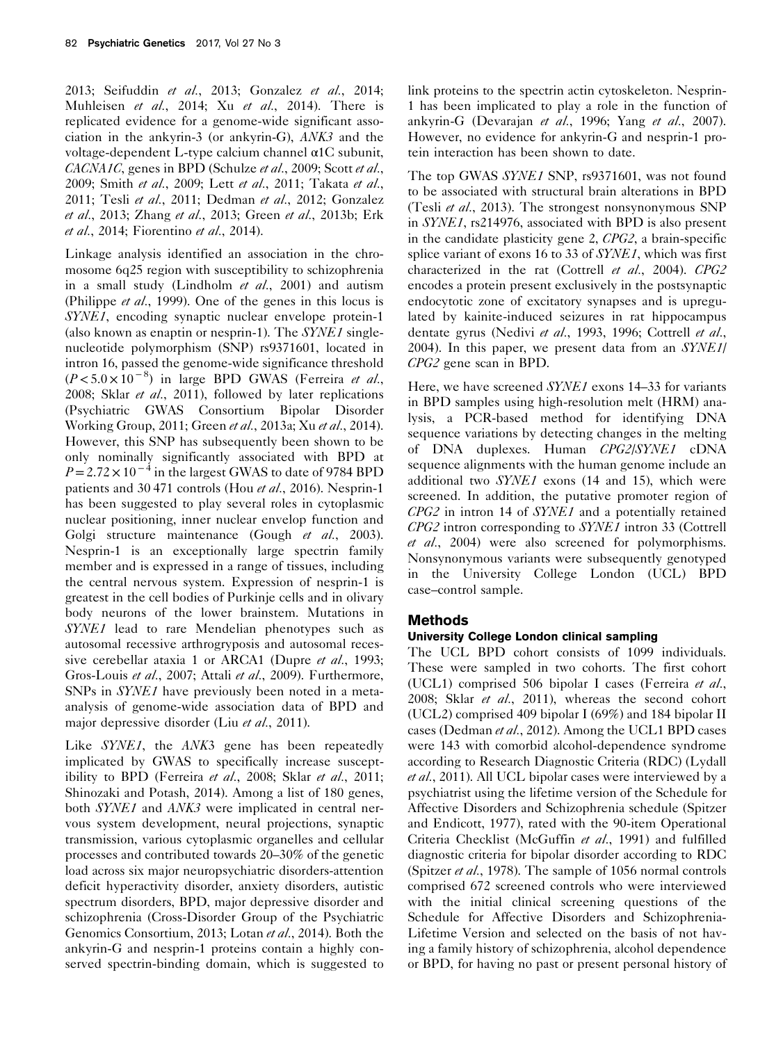[2013; Seifuddin](#page-6-0) et al., 2013; [Gonzalez](#page-5-0) et al., 2014; [Muhleisen](#page-6-0) et al.[, 2014](#page-7-0); Xu et al., 2014). There is replicated evidence for a genome-wide significant association in the ankyrin-3 (or ankyrin-G), ANK3 and the voltage-dependent L-type calcium channel α1C subunit, CACNA1C, genes in BPD ([Schulze](#page-6-0) et al., 2009; [Scott](#page-6-0) et al., [2009;](#page-6-0) Smith et al.[, 2009](#page-6-0); Lett et al.[, 2011; Takata](#page-6-0) et al., [2011;](#page-6-0) Tesli et al.[, 2011](#page-6-0); [Dedman](#page-5-0) et al., 2012; [Gonzalez](#page-5-0) et al.[, 2013;](#page-5-0) [Zhang](#page-7-0) et al., 2013; Green et al.[, 2013b; Erk](#page-5-0) et al.[, 2014; Fiorentino](#page-5-0) et al., 2014).

Linkage analysis identified an association in the chromosome 6q25 region with susceptibility to schizophrenia in a small study [\(Lindholm](#page-6-0) et al., 2001) and autism [\(Philippe](#page-6-0) et al., 1999). One of the genes in this locus is SYNE1, encoding synaptic nuclear envelope protein-1 (also known as enaptin or nesprin-1). The  $SYNE1$  singlenucleotide polymorphism (SNP) rs9371601, located in intron 16, passed the genome-wide significance threshold  $(P<5.0\times10^{-8})$  in large BPD GWAS ([Ferreira](#page-5-0) et al., [2008;](#page-5-0) Sklar et al.[, 2011\)](#page-6-0), followed by later replications [\(Psychiatric GWAS Consortium Bipolar Disorder](#page-6-0) [Working Group, 2011;](#page-6-0) Green et al.[, 2013a;](#page-5-0) Xu et al.[, 2014](#page-7-0)). However, this SNP has subsequently been shown to be only nominally significantly associated with BPD at  $P = 2.72 \times 10^{-4}$  in the largest GWAS to date of 9784 BPD patients and 30 471 controls (Hou et al.[, 2016](#page-5-0)). Nesprin-1 has been suggested to play several roles in cytoplasmic nuclear positioning, inner nuclear envelop function and Golgi structure maintenance (Gough et al.[, 2003](#page-5-0)). Nesprin-1 is an exceptionally large spectrin family member and is expressed in a range of tissues, including the central nervous system. Expression of nesprin-1 is greatest in the cell bodies of Purkinje cells and in olivary body neurons of the lower brainstem. Mutations in SYNE1 lead to rare Mendelian phenotypes such as autosomal recessive arthrogryposis and autosomal reces-sive cerebellar ataxia 1 or ARCA1 [\(Dupre](#page-5-0) et al., 1993; [Gros-Louis](#page-5-0) et al., 2007; Attali et al.[, 2009\)](#page-5-0). Furthermore, SNPs in SYNE1 have previously been noted in a metaanalysis of genome-wide association data of BPD and major depressive disorder (Liu et al.[, 2011](#page-6-0)).

Like *SYNE1*, the *ANK3* gene has been repeatedly implicated by GWAS to specifically increase suscept-ibility to BPD [\(Ferreira](#page-5-0) et al., 2008; Sklar et al.[, 2011](#page-6-0); [Shinozaki and Potash, 2014](#page-6-0)). Among a list of 180 genes, both SYNE1 and ANK3 were implicated in central nervous system development, neural projections, synaptic transmission, various cytoplasmic organelles and cellular processes and contributed towards 20–30% of the genetic load across six major neuropsychiatric disorders-attention deficit hyperactivity disorder, anxiety disorders, autistic spectrum disorders, BPD, major depressive disorder and schizophrenia ([Cross-Disorder Group of the Psychiatric](#page-5-0) [Genomics Consortium, 2013;](#page-5-0) [Lotan](#page-6-0) et al., 2014). Both the ankyrin-G and nesprin-1 proteins contain a highly conserved spectrin-binding domain, which is suggested to link proteins to the spectrin actin cytoskeleton. Nesprin-1 has been implicated to play a role in the function of ankyrin-G [\(Devarajan](#page-5-0) et al., 1996; Yang et al.[, 2007](#page-7-0)). However, no evidence for ankyrin-G and nesprin-1 protein interaction has been shown to date.

The top GWAS SYNE1 SNP, rs9371601, was not found to be associated with structural brain alterations in BPD (Tesli et al.[, 2013](#page-7-0)). The strongest nonsynonymous SNP in SYNE1, rs214976, associated with BPD is also present in the candidate plasticity gene 2, CPG2, a brain-specific splice variant of exons 16 to 33 of SYNE1, which was first characterized in the rat ([Cottrell](#page-5-0) et al., 2004). CPG2 encodes a protein present exclusively in the postsynaptic endocytotic zone of excitatory synapses and is upregulated by kainite-induced seizures in rat hippocampus dentate gyrus ([Nedivi](#page-6-0) et al., 1993, 1996; [Cottrell](#page-5-0) et al., [2004\)](#page-5-0). In this paper, we present data from an SYNE1/ CPG2 gene scan in BPD.

Here, we have screened SYNE1 exons 14–33 for variants in BPD samples using high-resolution melt (HRM) analysis, a PCR-based method for identifying DNA sequence variations by detecting changes in the melting of DNA duplexes. Human CPG2/SYNE1 cDNA sequence alignments with the human genome include an additional two  $SYNE1$  exons (14 and 15), which were screened. In addition, the putative promoter region of  $CPG2$  in intron 14 of  $SYNE1$  and a potentially retained CPG2 intron corresponding to SYNE1 intron 33 ([Cottrell](#page-5-0) et al.[, 2004](#page-5-0)) were also screened for polymorphisms. Nonsynonymous variants were subsequently genotyped in the University College London (UCL) BPD case–control sample.

# Methods

## University College London clinical sampling

The UCL BPD cohort consists of 1099 individuals. These were sampled in two cohorts. The first cohort (UCL1) comprised 506 bipolar I cases [\(Ferreira](#page-5-0) et al., [2008;](#page-5-0) Sklar et al.[, 2011\)](#page-6-0), whereas the second cohort (UCL2) comprised 409 bipolar I (69%) and 184 bipolar II cases ([Dedman](#page-5-0) et al., 2012). Among the UCL1 BPD cases were 143 with comorbid alcohol-dependence syndrome according to Research Diagnostic Criteria (RDC) [\(Lydall](#page-6-0) et al.[, 2011](#page-6-0)). All UCL bipolar cases were interviewed by a psychiatrist using the lifetime version of the Schedule for Affective Disorders and Schizophrenia schedule [\(Spitzer](#page-6-0) [and Endicott, 1977](#page-6-0)), rated with the 90-item Operational Criteria Checklist ([McGuffin](#page-6-0) et al., 1991) and fulfilled diagnostic criteria for bipolar disorder according to RDC [\(Spitzer](#page-6-0) et al., 1978). The sample of 1056 normal controls comprised 672 screened controls who were interviewed with the initial clinical screening questions of the Schedule for Affective Disorders and Schizophrenia-Lifetime Version and selected on the basis of not having a family history of schizophrenia, alcohol dependence or BPD, for having no past or present personal history of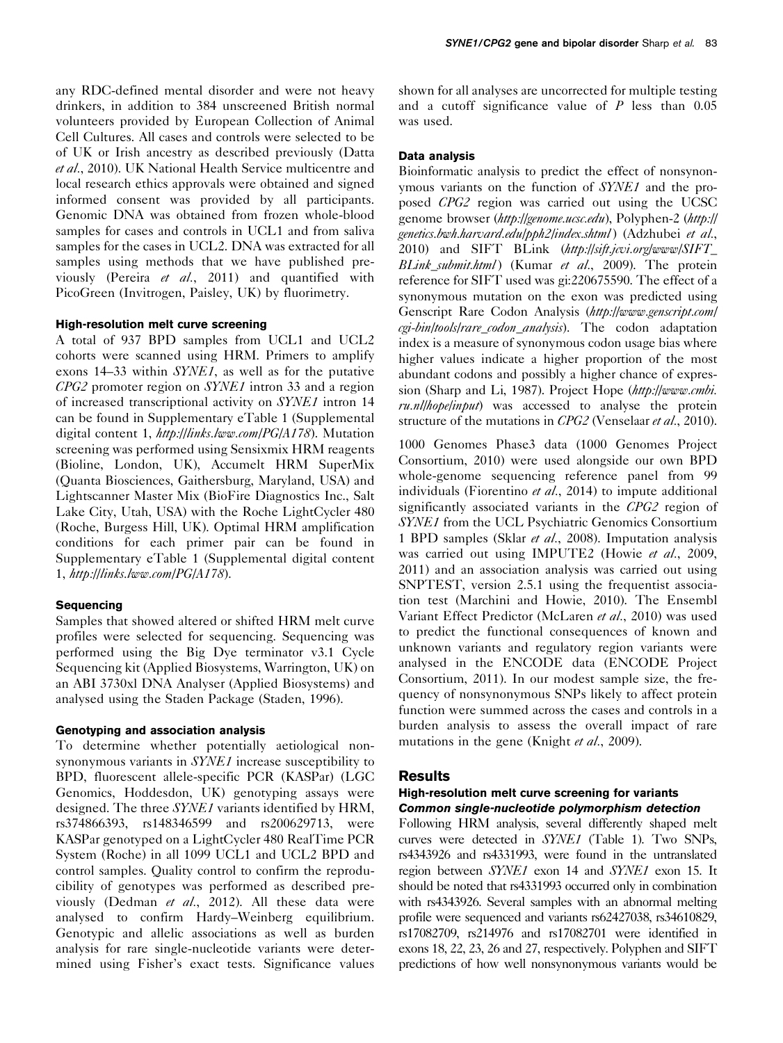any RDC-defined mental disorder and were not heavy drinkers, in addition to 384 unscreened British normal volunteers provided by European Collection of Animal Cell Cultures. All cases and controls were selected to be of UK or Irish ancestry as described previously ([Datta](#page-5-0) et al.[, 2010](#page-5-0)). UK National Health Service multicentre and local research ethics approvals were obtained and signed informed consent was provided by all participants. Genomic DNA was obtained from frozen whole-blood samples for cases and controls in UCL1 and from saliva samples for the cases in UCL2. DNA was extracted for all samples using methods that we have published previously (Pereira et al.[, 2011\)](#page-6-0) and quantified with PicoGreen (Invitrogen, Paisley, UK) by fluorimetry.

## High-resolution melt curve screening

A total of 937 BPD samples from UCL1 and UCL2 cohorts were scanned using HRM. Primers to amplify exons 14–33 within SYNE1, as well as for the putative CPG2 promoter region on SYNE1 intron 33 and a region of increased transcriptional activity on SYNE1 intron 14 can be found in Supplementary eTable 1 (Supplemental digital content 1, <http://links.lww.com/PG/A178>). Mutation screening was performed using Sensixmix HRM reagents (Bioline, London, UK), Accumelt HRM SuperMix (Quanta Biosciences, Gaithersburg, Maryland, USA) and Lightscanner Master Mix (BioFire Diagnostics Inc., Salt Lake City, Utah, USA) with the Roche LightCycler 480 (Roche, Burgess Hill, UK). Optimal HRM amplification conditions for each primer pair can be found in Supplementary eTable 1 (Supplemental digital content 1, <http://links.lww.com/PG/A178>).

#### **Sequencing**

Samples that showed altered or shifted HRM melt curve profiles were selected for sequencing. Sequencing was performed using the Big Dye terminator v3.1 Cycle Sequencing kit (Applied Biosystems, Warrington, UK) on an ABI 3730xl DNA Analyser (Applied Biosystems) and analysed using the Staden Package [\(Staden, 1996](#page-6-0)).

## Genotyping and association analysis

To determine whether potentially aetiological nonsynonymous variants in SYNE1 increase susceptibility to BPD, fluorescent allele-specific PCR (KASPar) (LGC Genomics, Hoddesdon, UK) genotyping assays were designed. The three SYNE1 variants identified by HRM, rs374866393, rs148346599 and rs200629713, were KASPar genotyped on a LightCycler 480 RealTime PCR System (Roche) in all 1099 UCL1 and UCL2 BPD and control samples. Quality control to confirm the reproducibility of genotypes was performed as described pre-viously [\(Dedman](#page-5-0) et al., 2012). All these data were analysed to confirm Hardy–Weinberg equilibrium. Genotypic and allelic associations as well as burden analysis for rare single-nucleotide variants were determined using Fisher's exact tests. Significance values shown for all analyses are uncorrected for multiple testing and a cutoff significance value of  $P$  less than 0.05 was used.

### Data analysis

Bioinformatic analysis to predict the effect of nonsynonymous variants on the function of SYNE1 and the proposed CPG2 region was carried out using the UCSC genome browser (<http://genome.ucsc.edu>), Polyphen-2 ([http://](http://genetics.bwh.harvard.edu/pph2/index.shtml) [genetics.bwh.harvard.edu/pph2/index.shtml](http://genetics.bwh.harvard.edu/pph2/index.shtml)) [\(Adzhubei](#page-5-0) et al., [2010](#page-5-0)) and SIFT BLink ([http://sift.jcvi.org/www/SIFT\\_](http://sift.jcvi.org/www/SIFT_BLink_submit.html) [BLink\\_submit.html](http://sift.jcvi.org/www/SIFT_BLink_submit.html)) (Kumar et al.[, 2009\)](#page-6-0). The protein reference for SIFT used was gi:220675590. The effect of a synonymous mutation on the exon was predicted using Genscript Rare Codon Analysis ([http://www.genscript.com/](http://www.genscript.com/cgi-bin/tools/rare_codon_analysis) [cgi-bin/tools/rare\\_codon\\_analysis](http://www.genscript.com/cgi-bin/tools/rare_codon_analysis)). The codon adaptation index is a measure of synonymous codon usage bias where higher values indicate a higher proportion of the most abundant codons and possibly a higher chance of expres-sion [\(Sharp and Li, 1987](#page-6-0)). Project Hope ([http://www.cmbi.](http://www.cmbi.ru.nl/hope/input)  $ru.nllhope|input)$  was accessed to analyse the protein structure of the mutations in CPG2 [\(Venselaar](#page-7-0) et al., 2010).

1000 Genomes Phase3 data [\(1000 Genomes Project](#page-5-0) [Consortium, 2010](#page-5-0)) were used alongside our own BPD whole-genome sequencing reference panel from 99 individuals ([Fiorentino](#page-5-0) et al., 2014) to impute additional significantly associated variants in the CPG2 region of SYNE1 from the UCL Psychiatric Genomics Consortium 1 BPD samples (Sklar et al.[, 2008\)](#page-6-0). Imputation analysis was carried out using IMPUTE2 ([Howie](#page-5-0) et al., [2009](#page-5-0), [2011\)](#page-6-0) and an association analysis was carried out using SNPTEST, version 2.5.1 using the frequentist association test ([Marchini and Howie, 2010](#page-6-0)). The Ensembl Variant Effect Predictor [\(McLaren](#page-6-0) et al., 2010) was used to predict the functional consequences of known and unknown variants and regulatory region variants were analysed in the ENCODE data [\(ENCODE Project](#page-5-0) [Consortium, 2011\)](#page-5-0). In our modest sample size, the frequency of nonsynonymous SNPs likely to affect protein function were summed across the cases and controls in a burden analysis to assess the overall impact of rare mutations in the gene ([Knight](#page-6-0) et al., 2009).

#### Results

## High-resolution melt curve screening for variants Common single-nucleotide polymorphism detection

Following HRM analysis, several differently shaped melt curves were detected in SYNE1 [\(Table 1](#page-3-0)). Two SNPs, rs4343926 and rs4331993, were found in the untranslated region between SYNE1 exon 14 and SYNE1 exon 15. It should be noted that rs4331993 occurred only in combination with rs4343926. Several samples with an abnormal melting profile were sequenced and variants rs62427038, rs34610829, rs17082709, rs214976 and rs17082701 were identified in exons 18, 22, 23, 26 and 27, respectively. Polyphen and SIFT predictions of how well nonsynonymous variants would be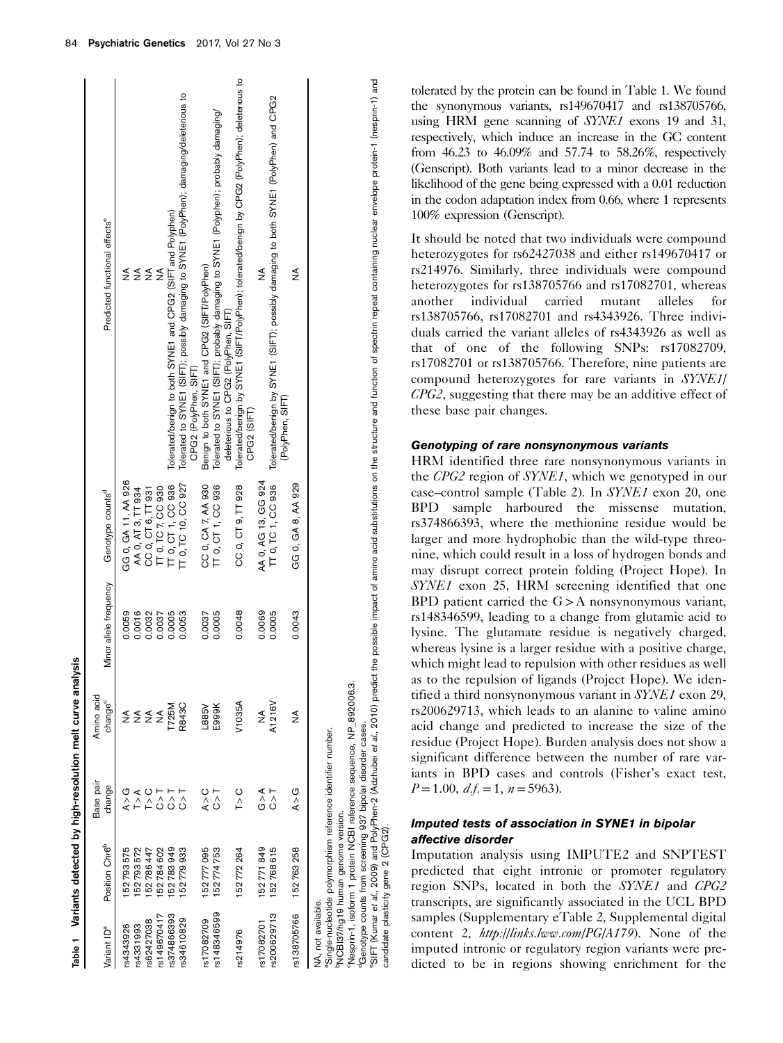<span id="page-3-0"></span>

| Variant ID <sup>a</sup> | Position Chr6 <sup>b</sup> | Base pair<br>change                                          | Amino acid<br>$change^c$ | Minor allele frequency | Genotype counts <sup>d</sup> | Predicted functional effects <sup>e</sup>                                                                     |
|-------------------------|----------------------------|--------------------------------------------------------------|--------------------------|------------------------|------------------------------|---------------------------------------------------------------------------------------------------------------|
| rs4343926               | 52 793 575                 | G∖<br>A                                                      |                          | 0.0059                 | GG 0, GA 11, AA 926          | ≸                                                                                                             |
| rs4331993               | 52793572                   | T > A                                                        |                          | 0.0016                 | AA 0, AT 3, TT 934           |                                                                                                               |
| rs62427038              | 52786447                   | $\Gamma > C$                                                 | ≨≨≨                      | 0.0032                 | CCO, CT6, TT931              | ≨≨                                                                                                            |
| rs149670417             | 52784602                   | $\overline{C}$                                               |                          | 0.0037                 | TT 0, TC 7, CC 930           | $\frac{1}{2}$                                                                                                 |
| rs374866393             | 52783949                   | 7<br>0                                                       | <b>T725M</b>             | 0.0005                 | T 0, CT 1, CC 936            | Tolerated/benign to both SYNE1 and CPG2 (SIFT and Polyphen)                                                   |
| rs34610829              | 52779933                   | ⊤<br>ن                                                       | R843C                    | 0.0053                 | T 0, TC 10, CC 927           | Tolerated to SYNE1 (SIFT); possibly damaging to SYNE1 (PolyPhen); damaging/deleterious to                     |
|                         |                            |                                                              |                          |                        |                              | CPG2 (PolyPhen, SIFT)                                                                                         |
| s17082709               | 52 777 095                 | A > C                                                        | <b>N9887</b>             | 0.0037                 | CC 0, CA 7, AA 930           | Benign to both SYNE1 and CPG2 (SIFT/PolyPhen)                                                                 |
| rs148346599             | 152774753                  | こへ                                                           | E999K                    | 0.0005                 | TT 0, CT 1, CC 936           | Tolerated to SYNE1 (SIFT); probably damaging to SYNE1 (Polyphen); probably damaging/                          |
|                         |                            |                                                              |                          |                        |                              | deleterious to CPG2 (PolyPhen, SIFT)                                                                          |
| \$214976                | 152772264                  | $\frac{C}{1}$                                                | V1035A                   | 0.0048                 | CC 0, CT 9, TT 928           | Tolerated/benign by SYNE1 (SIFT/PolyPhen); tolerated/benign by CPG2 (PolyPhen); deleterious to<br>CPG2 (SIFT) |
| rs17082701              | 52771849                   | $\begin{array}{c}\n\prec \sim \sim \end{array}$              | ≸                        | 0.0069                 | AA 0, AG 13, GG 924          | ≸                                                                                                             |
| rs200629713             | 152768615                  | $\frac{1}{2}$                                                | A1216V                   | 0.0005                 | TT 0, TC 1, CC 936           | Tolerated/benign by SYNE1 (SIFT); possibly damaging to both SYNE1 (PolyPhen) and CPG2<br>(PolyPhen, SIFT)     |
| rs138705766             | 152763258                  | $\mathsf{A} \geq \mathbb{G}$                                 | ≸                        | 0.0043                 | GG 0, GA 8, AA 929           | ≸                                                                                                             |
| NA, not available.      |                            | aSingle-nucleotide polymorphism reference identifier number. |                          |                        |                              |                                                                                                               |

"SIFT (Kumar *et al.,* 2009) and PolyPhen-2 (Adzhubei *et al.,* 2010) predict the possible impact of amino acid substitutions on the structure and function of spectrin repeat containing nuclear envelope protein-1 (nesprineSIFT ([Kumar](#page-6-0) et al., 2009) and PolyPhen-2 ([Adzhubei](#page-5-0) et al., 2010) predict the possible impact of amino acid substitutions on the structure and function of spectrin repeat containing nuclear envelope protein-1 (nesprin-1) and <sup>d</sup>Genotype counts from screening 937 bipolar disorder cases.<br>"SIFT (Kumar *et al.,* 2009) and PolyPhen-2 (Adzhubei *et al.,* 20 dGenotype counts from screening 937 bipolar disorder cases. candidate plasticity gene 2 (CPG2).

bNCBI37/hg19 human genome version.

hNCBI37/hg19 human genome version.

cNesprin-1, isoform 1 protein NCBI reference sequence, NP\_892006.3.

Nesprin-1, isoform 1 protein NCBI reference sequence, NP\_892006.3.

tolerated by the protein can be found in Table 1. We found the synonymous variants, rs149670417 and rs138705766, using HRM gene scanning of *SYNE1* exons 19 and 31, respectively, which induce an increase in the GC content from 46.23 to 46.09% and 57.74 to 58.26%, respectively (Genscript). Both variants lead to a minor decrease in the likelihood of the gene being expressed with a 0.01 reduction in the codon adaptation index from 0.66, where 1 represents 100% expression (Genscript).

It should be noted that two individuals were compound heterozygotes for rs62427038 and either rs149670417 or rs214976. Similarly, three individuals were compound heterozygotes for rs138705766 and rs17082701, whereas another individual carried mutant alleles for rs138705766, rs17082701 and rs4343926. Three individuals carried the variant alleles of rs4343926 as well as that of one of the following SNPs: rs17082709, rs17082701 or rs138705766. Therefore, nine patients are compound heterozygotes for rare variants in SYNE1/  $C\overline{P}G2$ , suggesting that there may be an additive effect of these base pair changes.

## Genotyping of rare nonsynonymous variants

HRM identified three rare nonsynonymous variants in the CPG2 region of SYNE1, which we genotyped in our case–control sample ([Table 2](#page-4-0)). In SYNE1 exon 20, one BPD sample harboured the missense mutation, rs374866393, where the methionine residue would be larger and more hydrophobic than the wild-type threonine, which could result in a loss of hydrogen bonds and may disrupt correct protein folding (Project Hope). In SYNE1 exon 25, HRM screening identified that one BPD patient carried the  $G$  > A nonsynonymous variant, rs148346599, leading to a change from glutamic acid to lysine. The glutamate residue is negatively charged, whereas lysine is a larger residue with a positive charge, which might lead to repulsion with other residues as well as to the repulsion of ligands (Project Hope). We identified a third nonsynonymous variant in SYNE1 exon 29, rs200629713, which leads to an alanine to valine amino acid change and predicted to increase the size of the residue (Project Hope). Burden analysis does not show a significant difference between the number of rare variants in BPD cases and controls (Fisher's exact test,  $P = 1.00, d.f. = 1, n = 5963.$ 

## Imputed tests of association in SYNE1 in bipolar affective disorder

Imputation analysis using IMPUTE2 and SNPTEST predicted that eight intronic or promoter regulatory region SNPs, located in both the SYNE1 and CPG2 transcripts, are significantly associated in the UCL BPD samples (Supplementary eTable 2, Supplemental digital content 2, <http://links.lww.com/PG/A179>). None of the imputed intronic or regulatory region variants were predicted to be in regions showing enrichment for the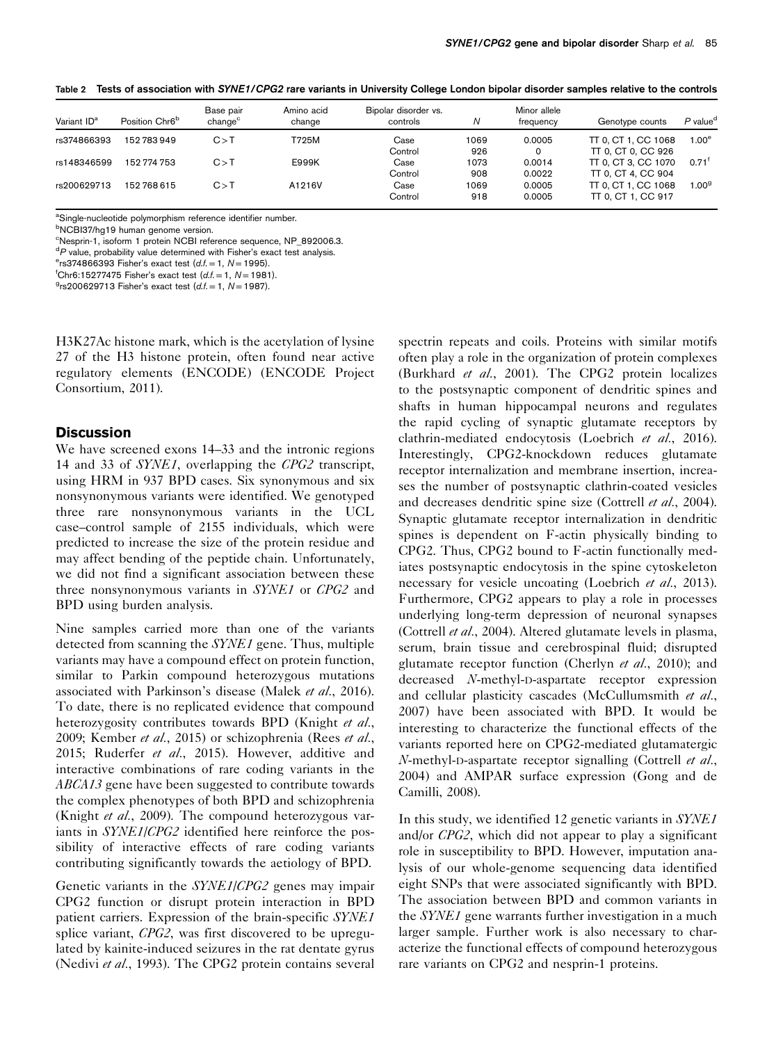| Variant ID <sup>a</sup> | Position Chr6 <sup>b</sup> | Base pair<br>change <sup>c</sup> | Amino acid<br>change | Bipolar disorder vs.<br>controls | N    | Minor allele<br>frequency | Genotype counts     | $P$ value <sup>d</sup> |
|-------------------------|----------------------------|----------------------------------|----------------------|----------------------------------|------|---------------------------|---------------------|------------------------|
| rs374866393             | 152 783 949                | C>1                              | T725M                | Case                             | 1069 | 0.0005                    | TT 0, CT 1, CC 1068 | 1.00 <sup>e</sup>      |
|                         |                            |                                  |                      | Control                          | 926  | 0                         | TT 0. CT 0. CC 926  |                        |
| rs148346599             | 152 774 753                | C > T                            | E999K                | Case                             | 1073 | 0.0014                    | TT 0, CT 3, CC 1070 | $0.71$ <sup>t</sup>    |
|                         |                            |                                  |                      | Control                          | 908  | 0.0022                    | TT 0, CT 4, CC 904  |                        |
| rs200629713             | 152768615                  | C > T                            | A1216V               | Case                             | 1069 | 0.0005                    | TT 0, CT 1, CC 1068 | 1.00 <sup>9</sup>      |
|                         |                            |                                  |                      | Control                          | 918  | 0.0005                    | TT 0. CT 1. CC 917  |                        |

<span id="page-4-0"></span>Table 2 Tests of association with SYNE1/CPG2 rare variants in University College London bipolar disorder samples relative to the controls

<sup>a</sup>Single-nucleotide polymorphism reference identifier number.

b NCBI37/hg19 human genome version.

c Nesprin-1, isoform 1 protein NCBI reference sequence, NP\_892006.3.

<sup>d</sup>P value, probability value determined with Fisher's exact test analysis.<br><sup>e</sup>rs374866393 Fisher's exact test (d f - 1 N - 1995)

 $e$ rs374866393 Fisher's exact test  $(d.f. = 1, N = 1995)$ .

<sup>f</sup>Chr6:15277475 Fisher's exact test  $(d.f. = 1, N = 1981)$ .

 $9$ rs200629713 Fisher's exact test (d.f. = 1, N = 1987).

H3K27Ac histone mark, which is the acetylation of lysine 27 of the H3 histone protein, often found near active regulatory elements (ENCODE) ([ENCODE Project](#page-5-0) [Consortium, 2011\)](#page-5-0).

## **Discussion**

We have screened exons 14–33 and the intronic regions 14 and 33 of SYNE1, overlapping the CPG2 transcript, using HRM in 937 BPD cases. Six synonymous and six nonsynonymous variants were identified. We genotyped three rare nonsynonymous variants in the UCL case–control sample of 2155 individuals, which were predicted to increase the size of the protein residue and may affect bending of the peptide chain. Unfortunately, we did not find a significant association between these three nonsynonymous variants in SYNE1 or CPG2 and BPD using burden analysis.

Nine samples carried more than one of the variants detected from scanning the SYNE1 gene. Thus, multiple variants may have a compound effect on protein function, similar to Parkin compound heterozygous mutations associated with Parkinson's disease ([Malek](#page-6-0) et al., 2016). To date, there is no replicated evidence that compound heterozygosity contributes towards BPD [\(Knight](#page-6-0) et al., [2009; Kember](#page-6-0) et al., 2015) or schizophrenia [\(Rees](#page-6-0) et al., [2015; Ruderfer](#page-6-0) et al., 2015). However, additive and interactive combinations of rare coding variants in the ABCA13 gene have been suggested to contribute towards the complex phenotypes of both BPD and schizophrenia [\(Knight](#page-6-0) et al., 2009). The compound heterozygous variants in SYNE1/CPG2 identified here reinforce the possibility of interactive effects of rare coding variants contributing significantly towards the aetiology of BPD.

Genetic variants in the SYNE1/CPG2 genes may impair CPG2 function or disrupt protein interaction in BPD patient carriers. Expression of the brain-specific SYNE1 splice variant, CPG2, was first discovered to be upregulated by kainite-induced seizures in the rat dentate gyrus [\(Nedivi](#page-6-0) et al., 1993). The CPG2 protein contains several spectrin repeats and coils. Proteins with similar motifs often play a role in the organization of protein complexes [\(Burkhard](#page-5-0) et al., 2001). The CPG2 protein localizes to the postsynaptic component of dendritic spines and shafts in human hippocampal neurons and regulates the rapid cycling of synaptic glutamate receptors by clathrin-mediated endocytosis [\(Loebrich](#page-6-0) et al., 2016). Interestingly, CPG2-knockdown reduces glutamate receptor internalization and membrane insertion, increases the number of postsynaptic clathrin-coated vesicles and decreases dendritic spine size [\(Cottrell](#page-5-0) et al., 2004). Synaptic glutamate receptor internalization in dendritic spines is dependent on F-actin physically binding to CPG2. Thus, CPG2 bound to F-actin functionally mediates postsynaptic endocytosis in the spine cytoskeleton necessary for vesicle uncoating ([Loebrich](#page-6-0) *et al.*, 2013). Furthermore, CPG2 appears to play a role in processes underlying long-term depression of neuronal synapses [\(Cottrell](#page-5-0) et al., 2004). Altered glutamate levels in plasma, serum, brain tissue and cerebrospinal fluid; disrupted glutamate receptor function ([Cherlyn](#page-5-0) *et al.*, 2010); and decreased N-methyl-D-aspartate receptor expression and cellular plasticity cascades ([McCullumsmith](#page-6-0) et al., [2007\)](#page-6-0) have been associated with BPD. It would be interesting to characterize the functional effects of the variants reported here on CPG2-mediated glutamatergic N-methyl-D-aspartate receptor signalling ([Cottrell](#page-5-0) et al., [2004\)](#page-5-0) and AMPAR surface expression ([Gong and de](#page-5-0) [Camilli, 2008](#page-5-0)).

In this study, we identified 12 genetic variants in SYNE1 and/or CPG2, which did not appear to play a significant role in susceptibility to BPD. However, imputation analysis of our whole-genome sequencing data identified eight SNPs that were associated significantly with BPD. The association between BPD and common variants in the SYNE1 gene warrants further investigation in a much larger sample. Further work is also necessary to characterize the functional effects of compound heterozygous rare variants on CPG2 and nesprin-1 proteins.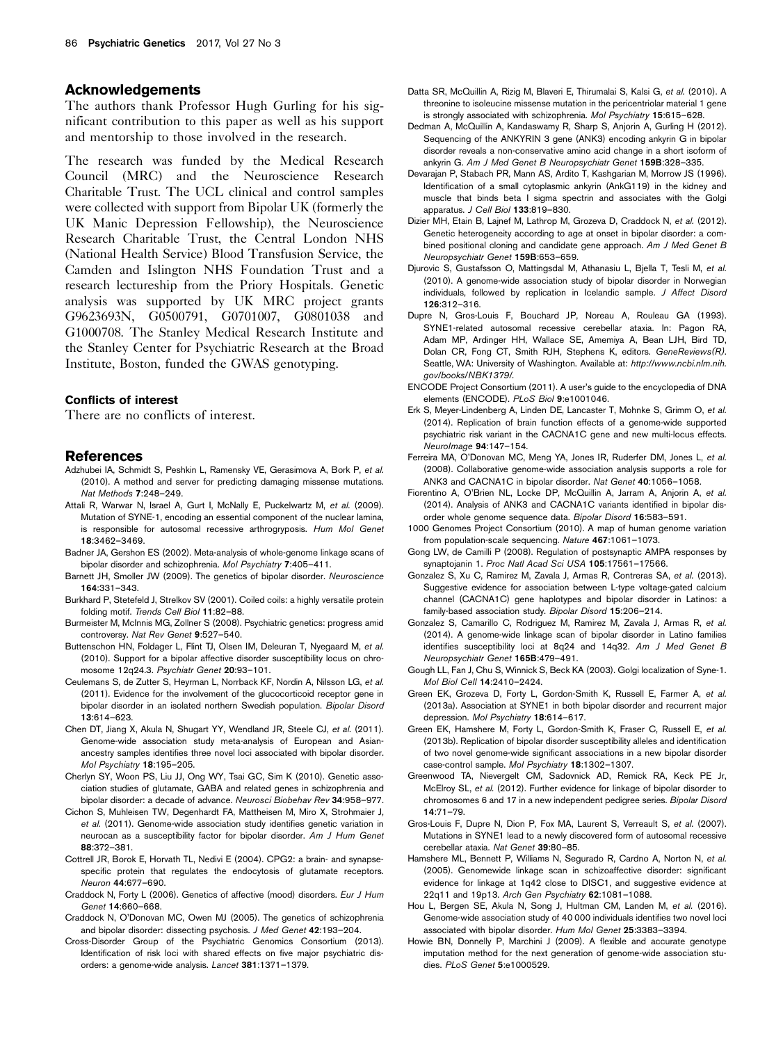#### <span id="page-5-0"></span>Acknowledgements

The authors thank Professor Hugh Gurling for his significant contribution to this paper as well as his support and mentorship to those involved in the research.

The research was funded by the Medical Research Council (MRC) and the Neuroscience Research Charitable Trust. The UCL clinical and control samples were collected with support from Bipolar UK (formerly the UK Manic Depression Fellowship), the Neuroscience Research Charitable Trust, the Central London NHS (National Health Service) Blood Transfusion Service, the Camden and Islington NHS Foundation Trust and a research lectureship from the Priory Hospitals. Genetic analysis was supported by UK MRC project grants G9623693N, G0500791, G0701007, G0801038 and G1000708. The Stanley Medical Research Institute and the Stanley Center for Psychiatric Research at the Broad Institute, Boston, funded the GWAS genotyping.

#### Conflicts of interest

There are no conflicts of interest.

#### References

- Adzhubei IA, Schmidt S, Peshkin L, Ramensky VE, Gerasimova A, Bork P, et al. (2010). A method and server for predicting damaging missense mutations. Nat Methods 7:248–249.
- Attali R, Warwar N, Israel A, Gurt I, McNally E, Puckelwartz M, et al. (2009). Mutation of SYNE-1, encoding an essential component of the nuclear lamina, is responsible for autosomal recessive arthrogryposis. Hum Mol Genet 18:3462–3469.
- Badner JA, Gershon ES (2002). Meta-analysis of whole-genome linkage scans of bipolar disorder and schizophrenia. Mol Psychiatry 7:405–411.
- Barnett JH, Smoller JW (2009). The genetics of bipolar disorder. Neuroscience 164:331–343.
- Burkhard P, Stetefeld J, Strelkov SV (2001). Coiled coils: a highly versatile protein folding motif. Trends Cell Biol 11:82–88.
- Burmeister M, McInnis MG, Zollner S (2008). Psychiatric genetics: progress amid controversy. Nat Rev Genet 9:527–540.
- Buttenschon HN, Foldager L, Flint TJ, Olsen IM, Deleuran T, Nyegaard M, et al. (2010). Support for a bipolar affective disorder susceptibility locus on chromosome 12q24.3. Psychiatr Genet 20:93–101.
- Ceulemans S, de Zutter S, Heyrman L, Norrback KF, Nordin A, Nilsson LG, et al. (2011). Evidence for the involvement of the glucocorticoid receptor gene in bipolar disorder in an isolated northern Swedish population. Bipolar Disord 13:614–623.
- Chen DT, Jiang X, Akula N, Shugart YY, Wendland JR, Steele CJ, et al. (2011). Genome-wide association study meta-analysis of European and Asianancestry samples identifies three novel loci associated with bipolar disorder. Mol Psychiatry 18:195–205.
- Cherlyn SY, Woon PS, Liu JJ, Ong WY, Tsai GC, Sim K (2010). Genetic association studies of glutamate, GABA and related genes in schizophrenia and bipolar disorder: a decade of advance. Neurosci Biobehav Rev 34:958–977.
- Cichon S, Muhleisen TW, Degenhardt FA, Mattheisen M, Miro X, Strohmaier J, et al. (2011). Genome-wide association study identifies genetic variation in neurocan as a susceptibility factor for bipolar disorder. Am J Hum Genet 88:372–381.
- Cottrell JR, Borok E, Horvath TL, Nedivi E (2004). CPG2: a brain- and synapsespecific protein that regulates the endocytosis of glutamate receptors. Neuron 44:677–690.
- Craddock N, Forty L (2006). Genetics of affective (mood) disorders. Eur J Hum Genet 14:660–668.
- Craddock N, O'Donovan MC, Owen MJ (2005). The genetics of schizophrenia and bipolar disorder: dissecting psychosis. J Med Genet 42:193–204.
- Cross-Disorder Group of the Psychiatric Genomics Consortium (2013). Identification of risk loci with shared effects on five major psychiatric disorders: a genome-wide analysis. Lancet 381:1371–1379.
- Datta SR, McQuillin A, Rizig M, Blaveri E, Thirumalai S, Kalsi G, et al. (2010). A threonine to isoleucine missense mutation in the pericentriolar material 1 gene is strongly associated with schizophrenia. Mol Psychiatry 15:615–628.
- Dedman A, McQuillin A, Kandaswamy R, Sharp S, Anjorin A, Gurling H (2012). Sequencing of the ANKYRIN 3 gene (ANK3) encoding ankyrin G in bipolar disorder reveals a non-conservative amino acid change in a short isoform of ankyrin G. Am J Med Genet B Neuropsychiatr Genet 159B:328-335.
- Devarajan P, Stabach PR, Mann AS, Ardito T, Kashgarian M, Morrow JS (1996). Identification of a small cytoplasmic ankyrin (AnkG119) in the kidney and muscle that binds beta I sigma spectrin and associates with the Golgi apparatus. J Cell Biol 133:819–830.
- Dizier MH, Etain B, Lajnef M, Lathrop M, Grozeva D, Craddock N, et al. (2012). Genetic heterogeneity according to age at onset in bipolar disorder: a combined positional cloning and candidate gene approach. Am J Med Genet B Neuropsychiatr Genet 159B:653–659.
- Djurovic S, Gustafsson O, Mattingsdal M, Athanasiu L, Bjella T, Tesli M, et al. (2010). A genome-wide association study of bipolar disorder in Norwegian individuals, followed by replication in Icelandic sample. J Affect Disord 126:312–316.
- Dupre N, Gros-Louis F, Bouchard JP, Noreau A, Rouleau GA (1993). SYNE1-related autosomal recessive cerebellar ataxia. In: Pagon RA, Adam MP, Ardinger HH, Wallace SE, Amemiya A, Bean LJH, Bird TD, Dolan CR, Fong CT, Smith RJH, Stephens K, editors. GeneReviews(R). Seattle, WA: University of Washington. Available at: [http://www.ncbi.nlm.nih.](https://www.ncbi.nlm.nih.gov/books/NBK1379/) [gov/books/NBK1379/.](https://www.ncbi.nlm.nih.gov/books/NBK1379/)
- ENCODE Project Consortium (2011). A user's guide to the encyclopedia of DNA elements (ENCODE). PLoS Biol 9:e1001046.
- Erk S, Meyer-Lindenberg A, Linden DE, Lancaster T, Mohnke S, Grimm O, et al. (2014). Replication of brain function effects of a genome-wide supported psychiatric risk variant in the CACNA1C gene and new multi-locus effects. NeuroImage 94:147–154.
- Ferreira MA, O'Donovan MC, Meng YA, Jones IR, Ruderfer DM, Jones L, et al. (2008). Collaborative genome-wide association analysis supports a role for ANK3 and CACNA1C in bipolar disorder. Nat Genet 40:1056–1058.
- Fiorentino A, O'Brien NL, Locke DP, McQuillin A, Jarram A, Anjorin A, et al. (2014). Analysis of ANK3 and CACNA1C variants identified in bipolar disorder whole genome sequence data. Bipolar Disord 16:583–591.
- 1000 Genomes Project Consortium (2010). A map of human genome variation from population-scale sequencing. Nature 467:1061–1073.
- Gong LW, de Camilli P (2008). Regulation of postsynaptic AMPA responses by synaptojanin 1. Proc Natl Acad Sci USA 105:17561-17566.
- Gonzalez S, Xu C, Ramirez M, Zavala J, Armas R, Contreras SA, et al. (2013). Suggestive evidence for association between L-type voltage-gated calcium channel (CACNA1C) gene haplotypes and bipolar disorder in Latinos: a family-based association study. Bipolar Disord 15:206–214.
- Gonzalez S, Camarillo C, Rodriguez M, Ramirez M, Zavala J, Armas R, et al. (2014). A genome-wide linkage scan of bipolar disorder in Latino families identifies susceptibility loci at 8q24 and 14q32. Am J Med Genet B Neuropsychiatr Genet 165B:479–491.
- Gough LL, Fan J, Chu S, Winnick S, Beck KA (2003). Golgi localization of Syne-1. Mol Biol Cell 14:2410–2424.
- Green EK, Grozeva D, Forty L, Gordon-Smith K, Russell E, Farmer A, et al. (2013a). Association at SYNE1 in both bipolar disorder and recurrent major depression. Mol Psychiatry 18:614–617.
- Green EK, Hamshere M, Forty L, Gordon-Smith K, Fraser C, Russell E, et al. (2013b). Replication of bipolar disorder susceptibility alleles and identification of two novel genome-wide significant associations in a new bipolar disorder case-control sample. Mol Psychiatry 18:1302–1307.
- Greenwood TA, Nievergelt CM, Sadovnick AD, Remick RA, Keck PE Jr, McElroy SL, et al. (2012). Further evidence for linkage of bipolar disorder to chromosomes 6 and 17 in a new independent pedigree series. Bipolar Disord 14:71–79.
- Gros-Louis F, Dupre N, Dion P, Fox MA, Laurent S, Verreault S, et al. (2007). Mutations in SYNE1 lead to a newly discovered form of autosomal recessive cerebellar ataxia. Nat Genet 39:80–85.
- Hamshere ML, Bennett P, Williams N, Segurado R, Cardno A, Norton N, et al. (2005). Genomewide linkage scan in schizoaffective disorder: significant evidence for linkage at 1q42 close to DISC1, and suggestive evidence at 22q11 and 19p13. Arch Gen Psychiatry 62:1081–1088.
- Hou L, Bergen SE, Akula N, Song J, Hultman CM, Landen M, et al. (2016). Genome-wide association study of 40 000 individuals identifies two novel loci associated with bipolar disorder. Hum Mol Genet 25:3383–3394.
- Howie BN, Donnelly P, Marchini J (2009). A flexible and accurate genotype imputation method for the next generation of genome-wide association studies. PLoS Genet 5:e1000529.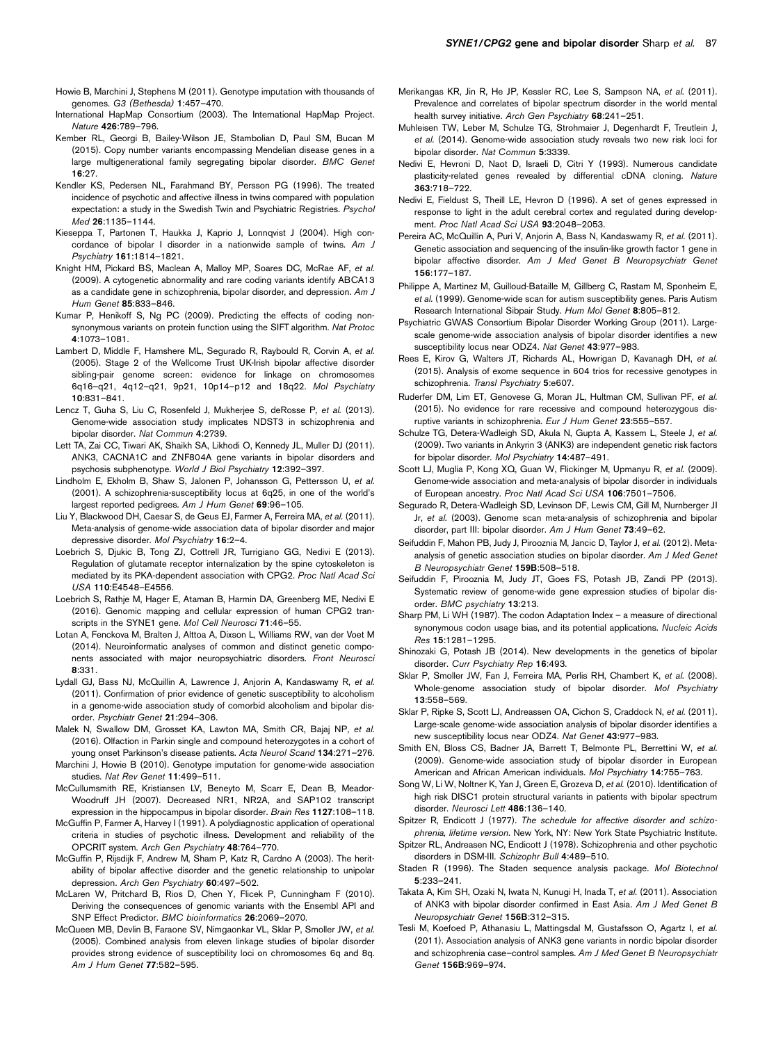- <span id="page-6-0"></span>Howie B, Marchini J, Stephens M (2011). Genotype imputation with thousands of genomes. G3 (Bethesda) 1:457–470.
- International HapMap Consortium (2003). The International HapMap Project. Nature 426:789–796.
- Kember RL, Georgi B, Bailey-Wilson JE, Stambolian D, Paul SM, Bucan M (2015). Copy number variants encompassing Mendelian disease genes in a large multigenerational family segregating bipolar disorder. BMC Genet 16:27.
- Kendler KS, Pedersen NL, Farahmand BY, Persson PG (1996). The treated incidence of psychotic and affective illness in twins compared with population expectation: a study in the Swedish Twin and Psychiatric Registries. Psychol Med 26:1135–1144.
- Kieseppa T, Partonen T, Haukka J, Kaprio J, Lonnqvist J (2004). High concordance of bipolar I disorder in a nationwide sample of twins. Am J Psychiatry 161:1814–1821.
- Knight HM, Pickard BS, Maclean A, Malloy MP, Soares DC, McRae AF. et al. (2009). A cytogenetic abnormality and rare coding variants identify ABCA13 as a candidate gene in schizophrenia, bipolar disorder, and depression. Am J Hum Genet 85:833–846.
- Kumar P, Henikoff S, Ng PC (2009). Predicting the effects of coding nonsynonymous variants on protein function using the SIFT algorithm. Nat Protoc 4:1073–1081.
- Lambert D, Middle F, Hamshere ML, Segurado R, Raybould R, Corvin A, et al. (2005). Stage 2 of the Wellcome Trust UK-Irish bipolar affective disorder sibling-pair genome screen: evidence for linkage on chromosomes 6q16–q21, 4q12–q21, 9p21, 10p14–p12 and 18q22. Mol Psychiatry 10:831–841.
- Lencz T, Guha S, Liu C, Rosenfeld J, Mukherjee S, deRosse P, et al. (2013). Genome-wide association study implicates NDST3 in schizophrenia and bipolar disorder. Nat Commun 4:2739.
- Lett TA, Zai CC, Tiwari AK, Shaikh SA, Likhodi O, Kennedy JL, Muller DJ (2011). ANK3, CACNA1C and ZNF804A gene variants in bipolar disorders and psychosis subphenotype. World J Biol Psychiatry 12:392–397.
- Lindholm E, Ekholm B, Shaw S, Jalonen P, Johansson G, Pettersson U, et al. (2001). A schizophrenia-susceptibility locus at 6q25, in one of the world's largest reported pedigrees. Am J Hum Genet 69:96-105.
- Liu Y, Blackwood DH, Caesar S, de Geus EJ, Farmer A, Ferreira MA, et al. (2011). Meta-analysis of genome-wide association data of bipolar disorder and major depressive disorder. Mol Psychiatry 16:2–4.
- Loebrich S, Djukic B, Tong ZJ, Cottrell JR, Turrigiano GG, Nedivi E (2013). Regulation of glutamate receptor internalization by the spine cytoskeleton is mediated by its PKA-dependent association with CPG2. Proc Natl Acad Sci USA 110:E4548–E4556.
- Loebrich S, Rathje M, Hager E, Ataman B, Harmin DA, Greenberg ME, Nedivi E (2016). Genomic mapping and cellular expression of human CPG2 transcripts in the SYNE1 gene. Mol Cell Neurosci 71:46-55.
- Lotan A, Fenckova M, Bralten J, Alttoa A, Dixson L, Williams RW, van der Voet M (2014). Neuroinformatic analyses of common and distinct genetic components associated with major neuropsychiatric disorders. Front Neurosci 8:331.
- Lydall GJ, Bass NJ, McQuillin A, Lawrence J, Anjorin A, Kandaswamy R, et al. (2011). Confirmation of prior evidence of genetic susceptibility to alcoholism in a genome-wide association study of comorbid alcoholism and bipolar disorder. Psychiatr Genet 21:294–306.
- Malek N, Swallow DM, Grosset KA, Lawton MA, Smith CR, Bajaj NP, et al. (2016). Olfaction in Parkin single and compound heterozygotes in a cohort of young onset Parkinson's disease patients. Acta Neurol Scand 134:271–276.
- Marchini J, Howie B (2010). Genotype imputation for genome-wide association studies. Nat Rev Genet 11:499–511.
- McCullumsmith RE, Kristiansen LV, Beneyto M, Scarr E, Dean B, Meador-Woodruff JH (2007). Decreased NR1, NR2A, and SAP102 transcript expression in the hippocampus in bipolar disorder. Brain Res 1127:108–118.
- McGuffin P, Farmer A, Harvey I (1991). A polydiagnostic application of operational criteria in studies of psychotic illness. Development and reliability of the OPCRIT system. Arch Gen Psychiatry 48:764–770.
- McGuffin P, Rijsdijk F, Andrew M, Sham P, Katz R, Cardno A (2003). The heritability of bipolar affective disorder and the genetic relationship to unipolar depression. Arch Gen Psychiatry 60:497–502.
- McLaren W, Pritchard B, Rios D, Chen Y, Flicek P, Cunningham F (2010). Deriving the consequences of genomic variants with the Ensembl API and SNP Effect Predictor. BMC bioinformatics 26:2069–2070.
- McQueen MB, Devlin B, Faraone SV, Nimgaonkar VL, Sklar P, Smoller JW, et al. (2005). Combined analysis from eleven linkage studies of bipolar disorder provides strong evidence of susceptibility loci on chromosomes 6q and 8q. Am J Hum Genet 77:582–595.
- Merikangas KR, Jin R, He JP, Kessler RC, Lee S, Sampson NA, et al. (2011). Prevalence and correlates of bipolar spectrum disorder in the world mental health survey initiative. Arch Gen Psychiatry 68:241-251.
- Muhleisen TW, Leber M, Schulze TG, Strohmaier J, Degenhardt F, Treutlein J, et al. (2014). Genome-wide association study reveals two new risk loci for bipolar disorder. Nat Commun 5:3339.
- Nedivi E, Hevroni D, Naot D, Israeli D, Citri Y (1993). Numerous candidate plasticity-related genes revealed by differential cDNA cloning. Nature 363:718–722.
- Nedivi E, Fieldust S, Theill LE, Hevron D (1996). A set of genes expressed in response to light in the adult cerebral cortex and regulated during development. Proc Natl Acad Sci USA 93:2048-2053.
- Pereira AC, McQuillin A, Puri V, Anjorin A, Bass N, Kandaswamy R, et al. (2011). Genetic association and sequencing of the insulin-like growth factor 1 gene in bipolar affective disorder. Am J Med Genet B Neuropsychiatr Genet 156:177–187.
- Philippe A, Martinez M, Guilloud-Bataille M, Gillberg C, Rastam M, Sponheim E, et al. (1999). Genome-wide scan for autism susceptibility genes. Paris Autism Research International Sibpair Study. Hum Mol Genet 8:805–812.
- Psychiatric GWAS Consortium Bipolar Disorder Working Group (2011). Largescale genome-wide association analysis of bipolar disorder identifies a new susceptibility locus near ODZ4. Nat Genet 43:977–983.
- Rees E, Kirov G, Walters JT, Richards AL, Howrigan D, Kavanagh DH, et al. (2015). Analysis of exome sequence in 604 trios for recessive genotypes in schizophrenia. Transl Psychiatry 5:e607.
- Ruderfer DM, Lim ET, Genovese G, Moran JL, Hultman CM, Sullivan PF, et al. (2015). No evidence for rare recessive and compound heterozygous disruptive variants in schizophrenia. Eur J Hum Genet 23:555–557.
- Schulze TG, Detera-Wadleigh SD, Akula N, Gupta A, Kassem L, Steele J, et al. (2009). Two variants in Ankyrin 3 (ANK3) are independent genetic risk factors for bipolar disorder. Mol Psychiatry 14:487–491.
- Scott LJ, Muglia P, Kong XQ, Guan W, Flickinger M, Upmanyu R, et al. (2009). Genome-wide association and meta-analysis of bipolar disorder in individuals of European ancestry. Proc Natl Acad Sci USA 106:7501-7506
- Segurado R, Detera-Wadleigh SD, Levinson DF, Lewis CM, Gill M, Nurnberger JI Jr, et al. (2003). Genome scan meta-analysis of schizophrenia and bipolar disorder, part III: bipolar disorder. Am J Hum Genet 73:49-62.
- Seifuddin F, Mahon PB, Judy J, Pirooznia M, Jancic D, Taylor J, et al. (2012). Metaanalysis of genetic association studies on bipolar disorder. Am J Med Genet B Neuropsychiatr Genet 159B:508–518.
- Seifuddin F, Pirooznia M, Judy JT, Goes FS, Potash JB, Zandi PP (2013). Systematic review of genome-wide gene expression studies of bipolar disorder. BMC psychiatry 13:213.
- Sharp PM, Li WH (1987). The codon Adaptation Index a measure of directional synonymous codon usage bias, and its potential applications. Nucleic Acids Res 15:1281–1295.
- Shinozaki G, Potash JB (2014). New developments in the genetics of bipolar disorder. Curr Psychiatry Rep 16:493.
- Sklar P, Smoller JW, Fan J, Ferreira MA, Perlis RH, Chambert K, et al. (2008). Whole-genome association study of bipolar disorder. Mol Psychiatry 13:558–569.
- Sklar P, Ripke S, Scott LJ, Andreassen OA, Cichon S, Craddock N, et al. (2011). Large-scale genome-wide association analysis of bipolar disorder identifies a new susceptibility locus near ODZ4. Nat Genet 43:977–983.
- Smith EN, Bloss CS, Badner JA, Barrett T, Belmonte PL, Berrettini W, et al. (2009). Genome-wide association study of bipolar disorder in European American and African American individuals. Mol Psychiatry 14:755–763.
- Song W, Li W, Noltner K, Yan J, Green E, Grozeva D, et al. (2010). Identification of high risk DISC1 protein structural variants in patients with bipolar spectrum disorder. Neurosci Lett 486:136-140.

Spitzer R, Endicott J (1977). The schedule for affective disorder and schizophrenia, lifetime version. New York, NY: New York State Psychiatric Institute.

- Spitzer RL, Andreasen NC, Endicott J (1978). Schizophrenia and other psychotic disorders in DSM-III. Schizophr Bull 4:489–510.
- Staden R (1996). The Staden sequence analysis package. Mol Biotechnol 5:233–241.
- Takata A, Kim SH, Ozaki N, Iwata N, Kunugi H, Inada T, et al. (2011). Association of ANK3 with bipolar disorder confirmed in East Asia. Am J Med Genet B Neuropsychiatr Genet 156B:312–315.
- Tesli M, Koefoed P, Athanasiu L, Mattingsdal M, Gustafsson O, Agartz I, et al. (2011). Association analysis of ANK3 gene variants in nordic bipolar disorder and schizophrenia case–control samples. Am J Med Genet B Neuropsychiatr Genet 156B:969–974.